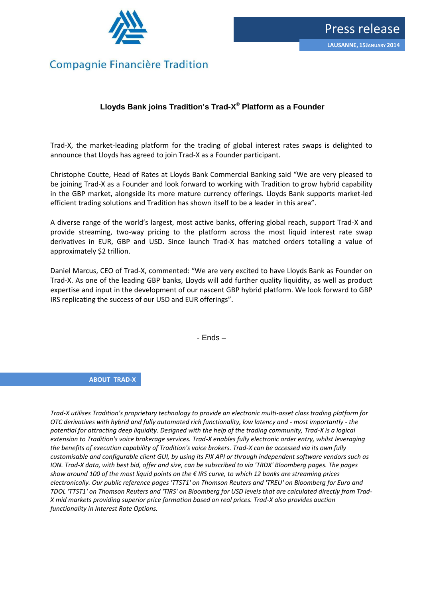

## **Compagnie Financière Tradition**

## **Lloyds Bank joins Tradition's Trad-X ® Platform as a Founder**

Trad-X, the market-leading platform for the trading of global interest rates swaps is delighted to announce that Lloyds has agreed to join Trad-X as a Founder participant.

Christophe Coutte, Head of Rates at Lloyds Bank Commercial Banking said "We are very pleased to be joining Trad-X as a Founder and look forward to working with Tradition to grow hybrid capability in the GBP market, alongside its more mature currency offerings. Lloyds Bank supports market-led efficient trading solutions and Tradition has shown itself to be a leader in this area".

A diverse range of the world's largest, most active banks, offering global reach, support Trad-X and provide streaming, two-way pricing to the platform across the most liquid interest rate swap derivatives in EUR, GBP and USD. Since launch Trad-X has matched orders totalling a value of approximately \$2 trillion.

Daniel Marcus, CEO of Trad-X, commented: "We are very excited to have Lloyds Bank as Founder on Trad-X. As one of the leading GBP banks, Lloyds will add further quality liquidity, as well as product expertise and input in the development of our nascent GBP hybrid platform. We look forward to GBP IRS replicating the success of our USD and EUR offerings".

- Ends –

**ABOUT TRAD-X**

*Trad-X utilises Tradition's proprietary technology to provide an electronic multi-asset class trading platform for OTC derivatives with hybrid and fully automated rich functionality, low latency and - most importantly - the potential for attracting deep liquidity. Designed with the help of the trading community, Trad-X is a logical extension to Tradition's voice brokerage services. Trad-X enables fully electronic order entry, whilst leveraging the benefits of execution capability of Tradition's voice brokers. Trad-X can be accessed via its own fully customisable and configurable client GUI, by using its FIX API or through independent software vendors such as ION. Trad-X data, with best bid, offer and size, can be subscribed to via 'TRDX' Bloomberg pages. The pages show around 100 of the most liquid points on the € IRS curve, to which 12 banks are streaming prices electronically. Our public reference pages 'TTST1' on Thomson Reuters and 'TREU' on Bloomberg for Euro and TDOL 'TTST1' on Thomson Reuters and 'TIRS' on Bloomberg for USD levels that are calculated directly from Trad-X mid markets providing superior price formation based on real prices. Trad-X also provides auction functionality in Interest Rate Options.*